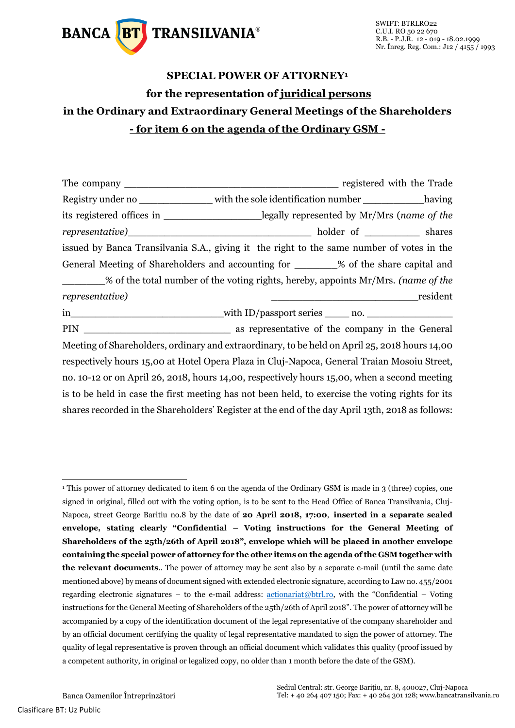

## **SPECIAL POWER OF ATTORNEY<sup>1</sup> for the representation of juridical persons in the Ordinary and Extraordinary General Meetings of the Shareholders - for item 6 on the agenda of the Ordinary GSM -**

| Registry under no _________________ with the sole identification number _____________having      |                                                                                                                      |          |  |  |  |  |
|--------------------------------------------------------------------------------------------------|----------------------------------------------------------------------------------------------------------------------|----------|--|--|--|--|
| its registered offices in ______________________legally represented by Mr/Mrs (name of the       |                                                                                                                      |          |  |  |  |  |
|                                                                                                  |                                                                                                                      |          |  |  |  |  |
| issued by Banca Transilvania S.A., giving it the right to the same number of votes in the        |                                                                                                                      |          |  |  |  |  |
| General Meeting of Shareholders and accounting for ________% of the share capital and            |                                                                                                                      |          |  |  |  |  |
| % of the total number of the voting rights, hereby, appoints Mr/Mrs. (name of the                |                                                                                                                      |          |  |  |  |  |
| representative)                                                                                  | <u> Alexandria de la contrada de la contrada de la contrada de la contrada de la contrada de la contrada de la c</u> | resident |  |  |  |  |
|                                                                                                  |                                                                                                                      |          |  |  |  |  |
|                                                                                                  |                                                                                                                      |          |  |  |  |  |
| Meeting of Shareholders, ordinary and extraordinary, to be held on April 25, 2018 hours 14,00    |                                                                                                                      |          |  |  |  |  |
| respectively hours 15,00 at Hotel Opera Plaza in Cluj-Napoca, General Traian Mosoiu Street,      |                                                                                                                      |          |  |  |  |  |
| no. 10-12 or on April 26, 2018, hours 14,00, respectively hours 15,00, when a second meeting     |                                                                                                                      |          |  |  |  |  |
| is to be held in case the first meeting has not been held, to exercise the voting rights for its |                                                                                                                      |          |  |  |  |  |
|                                                                                                  |                                                                                                                      |          |  |  |  |  |

shares recorded in the Shareholders' Register at the end of the day April 13th, 2018 as follows:

 $\overline{a}$ 

<sup>&</sup>lt;sup>1</sup> This power of attorney dedicated to item 6 on the agenda of the Ordinary GSM is made in 3 (three) copies, one signed in original, filled out with the voting option, is to be sent to the Head Office of Banca Transilvania, Cluj-Napoca, street George Baritiu no.8 by the date of **20 April 2018, 17:00**, **inserted in a separate sealed envelope, stating clearly "Confidential – Voting instructions for the General Meeting of Shareholders of the 25th/26th of April 2018", envelope which will be placed in another envelope containing the special power of attorney for the other items on the agenda of the GSM together with the relevant documents**.. The power of attorney may be sent also by a separate e-mail (until the same date mentioned above) by means of document signed with extended electronic signature, according to Law no. 455/2001 regarding electronic signatures – to the e-mail address:  $\frac{\text{actionariat}(\text{obtrl},r_0)}{\text{totil}}$ , with the "Confidential – Voting instructions for the General Meeting of Shareholders of the 25th/26th of April 2018". The power of attorney will be accompanied by a copy of the identification document of the legal representative of the company shareholder and by an official document certifying the quality of legal representative mandated to sign the power of attorney. The quality of legal representative is proven through an official document which validates this quality (proof issued by a competent authority, in original or legalized copy, no older than 1 month before the date of the GSM).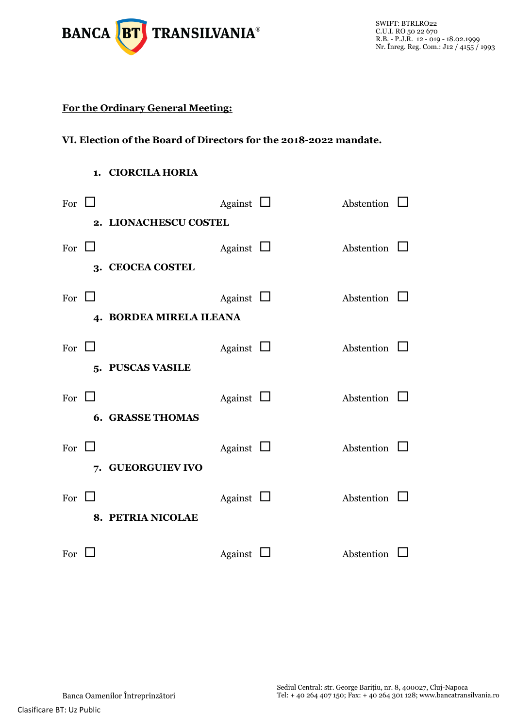

## **For the Ordinary General Meeting:**

## **VI. Election of the Board of Directors for the 2018-2022 mandate.**

## **1. CIORCILA HORIA**

| For $\Box$              |  |                   | Against $\Box$ |  | Abstention        |  |  |  |
|-------------------------|--|-------------------|----------------|--|-------------------|--|--|--|
| 2. LIONACHESCU COSTEL   |  |                   |                |  |                   |  |  |  |
| For $\Box$              |  |                   | Against $\Box$ |  | Abstention $\Box$ |  |  |  |
|                         |  | 3. CEOCEA COSTEL  |                |  |                   |  |  |  |
| For $\Box$              |  |                   | Against $\Box$ |  | Abstention $\Box$ |  |  |  |
| 4. BORDEA MIRELA ILEANA |  |                   |                |  |                   |  |  |  |
| For $\Box$              |  |                   | Against $\Box$ |  | Abstention $\Box$ |  |  |  |
|                         |  | 5. PUSCAS VASILE  |                |  |                   |  |  |  |
| For $\Box$              |  |                   | Against $\Box$ |  | Abstention $\Box$ |  |  |  |
| <b>6. GRASSE THOMAS</b> |  |                   |                |  |                   |  |  |  |
| For $\Box$              |  |                   | Against $\Box$ |  | Abstention $\Box$ |  |  |  |
|                         |  | 7. GUEORGUIEV IVO |                |  |                   |  |  |  |
| For $\Box$              |  |                   | Against $\Box$ |  | Abstention 1      |  |  |  |
|                         |  | 8. PETRIA NICOLAE |                |  |                   |  |  |  |
| For $\Box$              |  |                   | Against $\Box$ |  | Abstention        |  |  |  |